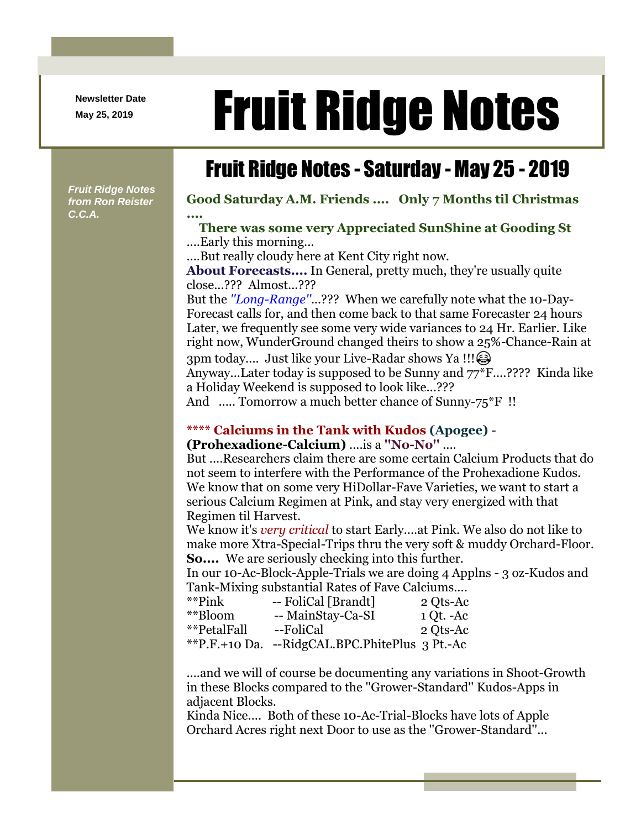**Newsletter Date**

# Newsletter Date **Fruit Ridge Notes**

# Fruit Ridge Notes - Saturday - May 25 - 2019

*Fruit Ridge Notes from Ron Reister C.C.A.*

**Good Saturday A.M. Friends .... Only 7 Months til Christmas ....**

## **There was some very Appreciated SunShine at Gooding St** ....Early this morning...

....But really cloudy here at Kent City right now.

**About Forecasts....** In General, pretty much, they're usually quite close...??? Almost...???

But the *''Long-Range''*...??? When we carefully note what the 10-Day-Forecast calls for, and then come back to that same Forecaster 24 hours Later, we frequently see some very wide variances to 24 Hr. Earlier. Like right now, WunderGround changed theirs to show a 25%-Chance-Rain at 3pm today.... Just like your Live-Radar shows Ya !!! Anyway...Later today is supposed to be Sunny and 77\*F....???? Kinda like

a Holiday Weekend is supposed to look like...???

And ..... Tomorrow a much better chance of Sunny-75<sup>\*</sup>F !!

## **\*\*\*\* Calciums in the Tank with Kudos (Apogee)** -

#### **(Prohexadione-Calcium)** ....is a **''No-No''** ....

But ....Researchers claim there are some certain Calcium Products that do not seem to interfere with the Performance of the Prohexadione Kudos. We know that on some very HiDollar-Fave Varieties, we want to start a serious Calcium Regimen at Pink, and stay very energized with that Regimen til Harvest.

We know it's *very critical* to start Early....at Pink. We also do not like to make more Xtra-Special-Trips thru the very soft & muddy Orchard-Floor. **So....** We are seriously checking into this further.

In our 10-Ac-Block-Apple-Trials we are doing 4 Applns - 3 oz-Kudos and Tank-Mixing substantial Rates of Fave Calciums....

| **Pink      | -- FoliCal [Brandt]                            | 2 Qts-Ac    |
|-------------|------------------------------------------------|-------------|
| **Bloom     | -- MainStay-Ca-SI                              | $1 Qt. -Ac$ |
| **PetalFall | --FoliCal                                      | 2 Qts-Ac    |
|             | **P.F.+10 Da. --RidgCAL.BPC.PhitePlus 3 Pt.-Ac |             |

....and we will of course be documenting any variations in Shoot-Growth in these Blocks compared to the ''Grower-Standard'' Kudos-Apps in adjacent Blocks.

Kinda Nice.... Both of these 10-Ac-Trial-Blocks have lots of Apple Orchard Acres right next Door to use as the ''Grower-Standard''...